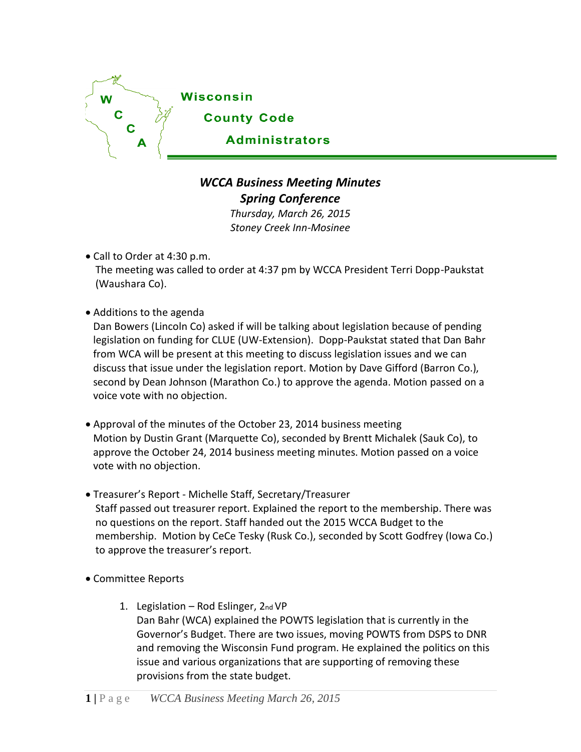

## *WCCA Business Meeting Minutes Spring Conference*

*Thursday, March 26, 2015 Stoney Creek Inn-Mosinee*

Call to Order at 4:30 p.m.

The meeting was called to order at 4:37 pm by WCCA President Terri Dopp-Paukstat (Waushara Co).

Additions to the agenda

Dan Bowers (Lincoln Co) asked if will be talking about legislation because of pending legislation on funding for CLUE (UW-Extension). Dopp-Paukstat stated that Dan Bahr from WCA will be present at this meeting to discuss legislation issues and we can discuss that issue under the legislation report. Motion by Dave Gifford (Barron Co.), second by Dean Johnson (Marathon Co.) to approve the agenda. Motion passed on a voice vote with no objection.

- Approval of the minutes of the October 23, 2014 business meeting Motion by Dustin Grant (Marquette Co), seconded by Brentt Michalek (Sauk Co), to approve the October 24, 2014 business meeting minutes. Motion passed on a voice vote with no objection.
- Treasurer's Report Michelle Staff, Secretary/Treasurer Staff passed out treasurer report. Explained the report to the membership. There was no questions on the report. Staff handed out the 2015 WCCA Budget to the membership. Motion by CeCe Tesky (Rusk Co.), seconded by Scott Godfrey (Iowa Co.) to approve the treasurer's report.
- Committee Reports
	- 1. Legislation Rod Eslinger, 2nd VP Dan Bahr (WCA) explained the POWTS legislation that is currently in the Governor's Budget. There are two issues, moving POWTS from DSPS to DNR and removing the Wisconsin Fund program. He explained the politics on this issue and various organizations that are supporting of removing these provisions from the state budget.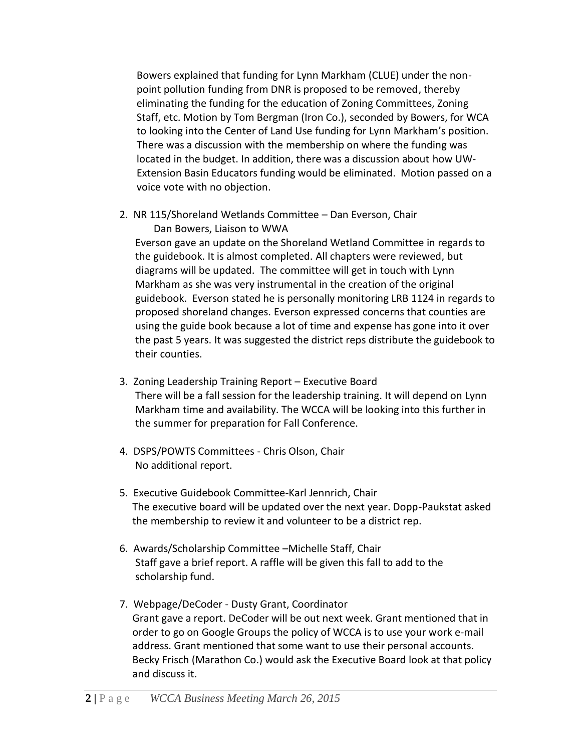Bowers explained that funding for Lynn Markham (CLUE) under the nonpoint pollution funding from DNR is proposed to be removed, thereby eliminating the funding for the education of Zoning Committees, Zoning Staff, etc. Motion by Tom Bergman (Iron Co.), seconded by Bowers, for WCA to looking into the Center of Land Use funding for Lynn Markham's position. There was a discussion with the membership on where the funding was located in the budget. In addition, there was a discussion about how UW-Extension Basin Educators funding would be eliminated. Motion passed on a voice vote with no objection.

2. NR 115/Shoreland Wetlands Committee – Dan Everson, Chair Dan Bowers, Liaison to WWA

Everson gave an update on the Shoreland Wetland Committee in regards to the guidebook. It is almost completed. All chapters were reviewed, but diagrams will be updated. The committee will get in touch with Lynn Markham as she was very instrumental in the creation of the original guidebook. Everson stated he is personally monitoring LRB 1124 in regards to proposed shoreland changes. Everson expressed concerns that counties are using the guide book because a lot of time and expense has gone into it over the past 5 years. It was suggested the district reps distribute the guidebook to their counties.

- 3. Zoning Leadership Training Report Executive Board There will be a fall session for the leadership training. It will depend on Lynn Markham time and availability. The WCCA will be looking into this further in the summer for preparation for Fall Conference.
- 4. DSPS/POWTS Committees Chris Olson, Chair No additional report.
- 5. Executive Guidebook Committee-Karl Jennrich, Chair The executive board will be updated over the next year. Dopp-Paukstat asked the membership to review it and volunteer to be a district rep.
- 6. Awards/Scholarship Committee –Michelle Staff, Chair Staff gave a brief report. A raffle will be given this fall to add to the scholarship fund.
- 7. Webpage/DeCoder Dusty Grant, Coordinator Grant gave a report. DeCoder will be out next week. Grant mentioned that in order to go on Google Groups the policy of WCCA is to use your work e-mail address. Grant mentioned that some want to use their personal accounts. Becky Frisch (Marathon Co.) would ask the Executive Board look at that policy and discuss it.